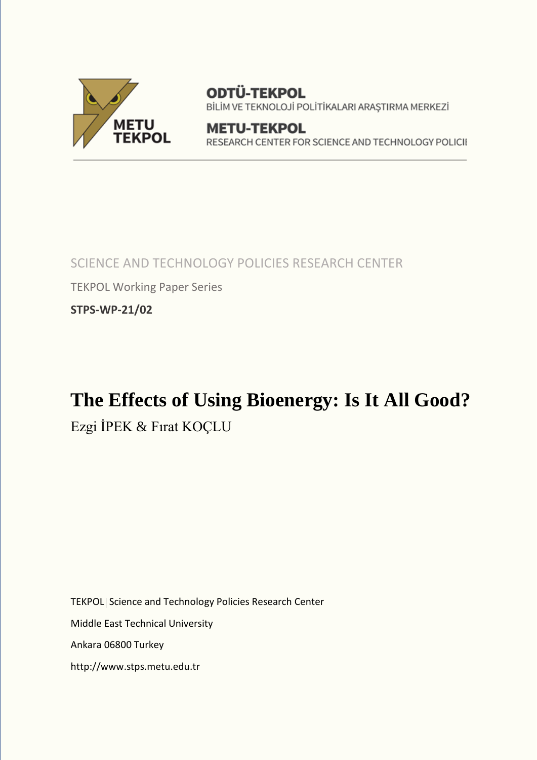

ODTÜ-TEKPOL BİLİM VE TEKNOLOJİ POLİTİKALARI ARAŞTIRMA MERKEZİ

**METU-TEKPOL** RESEARCH CENTER FOR SCIENCE AND TECHNOLOGY POLICII

SCIENCE AND TECHNOLOGY POLICIES RESEARCH CENTER TEKPOL Working Paper Series **STPS-WP-21/02** 

# **The Effects of Using Bioenergy: Is It All Good?**

Ezgi İPEK & Fırat KOÇLU

TEKPOL Science and Technology Policies Research Center Middle East Technical University Ankara 06800 Turkey http://www.stps.metu.edu.tr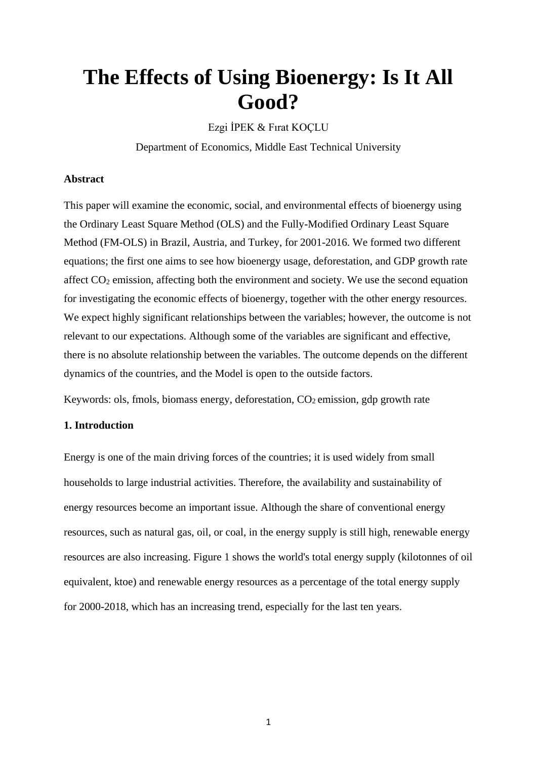# **The Effects of Using Bioenergy: Is It All Good?**

Ezgi İPEK & Fırat KOÇLU

Department of Economics, Middle East Technical University

#### **Abstract**

This paper will examine the economic, social, and environmental effects of bioenergy using the Ordinary Least Square Method (OLS) and the Fully-Modified Ordinary Least Square Method (FM-OLS) in Brazil, Austria, and Turkey, for 2001-2016. We formed two different equations; the first one aims to see how bioenergy usage, deforestation, and GDP growth rate affect  $CO<sub>2</sub>$  emission, affecting both the environment and society. We use the second equation for investigating the economic effects of bioenergy, together with the other energy resources. We expect highly significant relationships between the variables; however, the outcome is not relevant to our expectations. Although some of the variables are significant and effective, there is no absolute relationship between the variables. The outcome depends on the different dynamics of the countries, and the Model is open to the outside factors.

Keywords: ols, fmols, biomass energy, deforestation,  $CO<sub>2</sub>$  emission, gdp growth rate

#### **1. Introduction**

Energy is one of the main driving forces of the countries; it is used widely from small households to large industrial activities. Therefore, the availability and sustainability of energy resources become an important issue. Although the share of conventional energy resources, such as natural gas, oil, or coal, in the energy supply is still high, renewable energy resources are also increasing. Figure 1 shows the world's total energy supply (kilotonnes of oil equivalent, ktoe) and renewable energy resources as a percentage of the total energy supply for 2000-2018, which has an increasing trend, especially for the last ten years.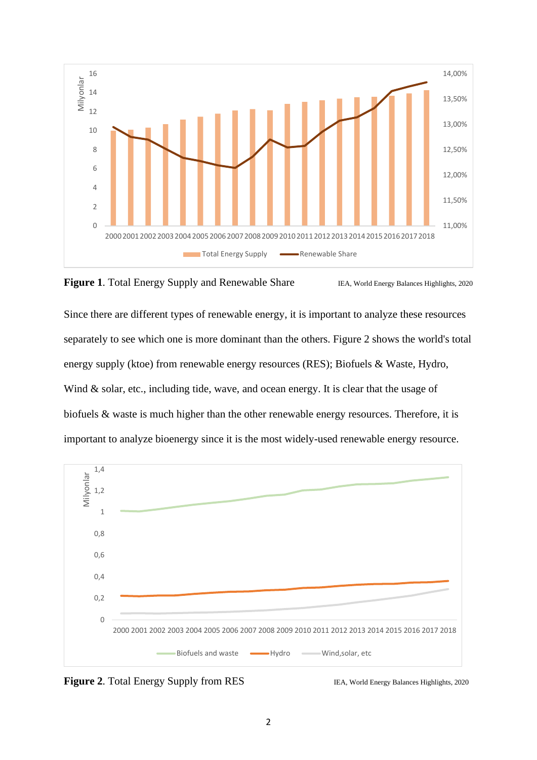



Since there are different types of renewable energy, it is important to analyze these resources separately to see which one is more dominant than the others. Figure 2 shows the world's total energy supply (ktoe) from renewable energy resources (RES); Biofuels & Waste, Hydro, Wind & solar, etc., including tide, wave, and ocean energy. It is clear that the usage of biofuels & waste is much higher than the other renewable energy resources. Therefore, it is important to analyze bioenergy since it is the most widely-used renewable energy resource.



**Figure 2.** Total Energy Supply from RES IEA, World Energy Balances Highlights, 2020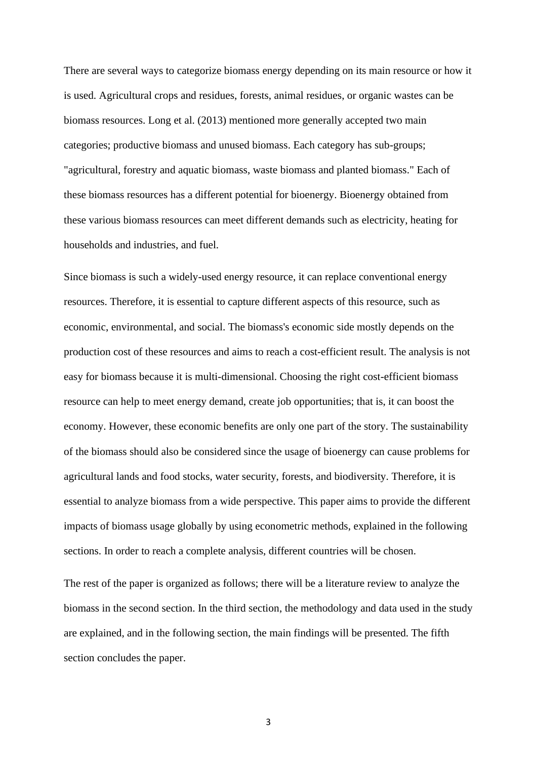There are several ways to categorize biomass energy depending on its main resource or how it is used. Agricultural crops and residues, forests, animal residues, or organic wastes can be biomass resources. Long et al. (2013) mentioned more generally accepted two main categories; productive biomass and unused biomass. Each category has sub-groups; "agricultural, forestry and aquatic biomass, waste biomass and planted biomass." Each of these biomass resources has a different potential for bioenergy. Bioenergy obtained from these various biomass resources can meet different demands such as electricity, heating for households and industries, and fuel.

Since biomass is such a widely-used energy resource, it can replace conventional energy resources. Therefore, it is essential to capture different aspects of this resource, such as economic, environmental, and social. The biomass's economic side mostly depends on the production cost of these resources and aims to reach a cost-efficient result. The analysis is not easy for biomass because it is multi-dimensional. Choosing the right cost-efficient biomass resource can help to meet energy demand, create job opportunities; that is, it can boost the economy. However, these economic benefits are only one part of the story. The sustainability of the biomass should also be considered since the usage of bioenergy can cause problems for agricultural lands and food stocks, water security, forests, and biodiversity. Therefore, it is essential to analyze biomass from a wide perspective. This paper aims to provide the different impacts of biomass usage globally by using econometric methods, explained in the following sections. In order to reach a complete analysis, different countries will be chosen.

The rest of the paper is organized as follows; there will be a literature review to analyze the biomass in the second section. In the third section, the methodology and data used in the study are explained, and in the following section, the main findings will be presented. The fifth section concludes the paper.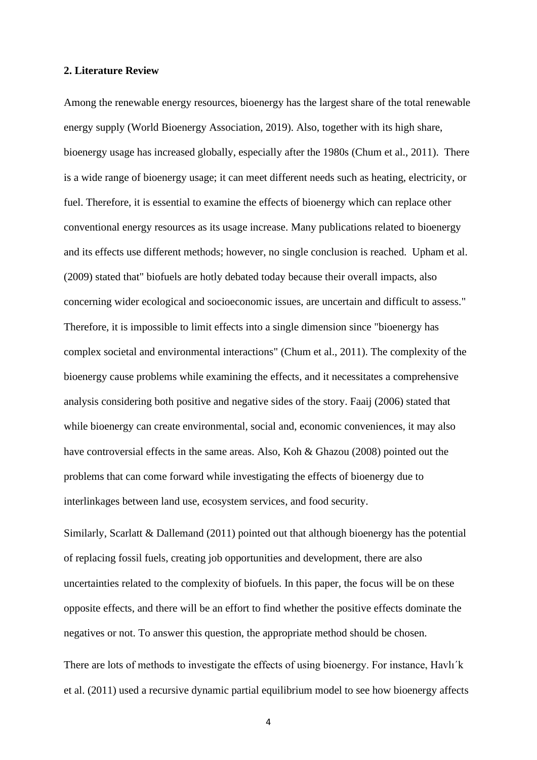#### **2. Literature Review**

Among the renewable energy resources, bioenergy has the largest share of the total renewable energy supply (World Bioenergy Association, 2019). Also, together with its high share, bioenergy usage has increased globally, especially after the 1980s (Chum et al., 2011). There is a wide range of bioenergy usage; it can meet different needs such as heating, electricity, or fuel. Therefore, it is essential to examine the effects of bioenergy which can replace other conventional energy resources as its usage increase. Many publications related to bioenergy and its effects use different methods; however, no single conclusion is reached. Upham et al. (2009) stated that" biofuels are hotly debated today because their overall impacts, also concerning wider ecological and socioeconomic issues, are uncertain and difficult to assess." Therefore, it is impossible to limit effects into a single dimension since "bioenergy has complex societal and environmental interactions" (Chum et al., 2011). The complexity of the bioenergy cause problems while examining the effects, and it necessitates a comprehensive analysis considering both positive and negative sides of the story. Faaij (2006) stated that while bioenergy can create environmental, social and, economic conveniences, it may also have controversial effects in the same areas. Also, Koh & Ghazou (2008) pointed out the problems that can come forward while investigating the effects of bioenergy due to interlinkages between land use, ecosystem services, and food security.

Similarly, Scarlatt & Dallemand (2011) pointed out that although bioenergy has the potential of replacing fossil fuels, creating job opportunities and development, there are also uncertainties related to the complexity of biofuels. In this paper, the focus will be on these opposite effects, and there will be an effort to find whether the positive effects dominate the negatives or not. To answer this question, the appropriate method should be chosen.

There are lots of methods to investigate the effects of using bioenergy. For instance, Havlı´k et al. (2011) used a recursive dynamic partial equilibrium model to see how bioenergy affects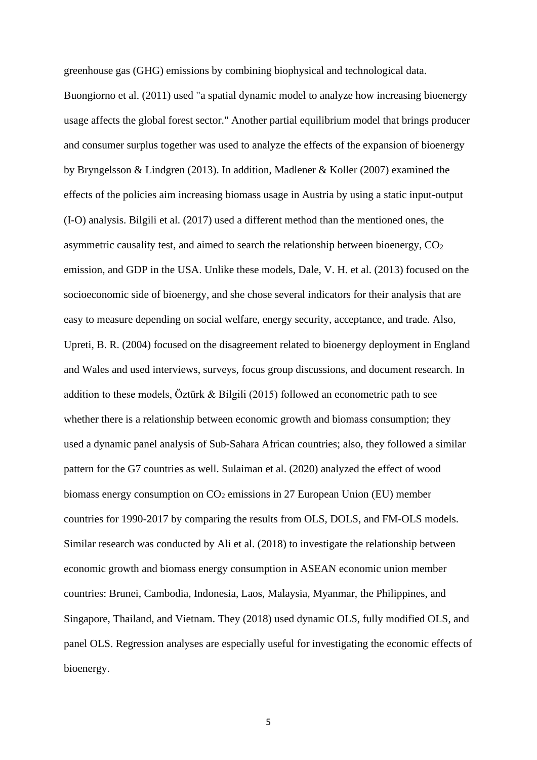greenhouse gas (GHG) emissions by combining biophysical and technological data. Buongiorno et al. (2011) used "a spatial dynamic model to analyze how increasing bioenergy usage affects the global forest sector." Another partial equilibrium model that brings producer and consumer surplus together was used to analyze the effects of the expansion of bioenergy by Bryngelsson & Lindgren (2013). In addition, Madlener & Koller (2007) examined the effects of the policies aim increasing biomass usage in Austria by using a static input-output (I-O) analysis. Bilgili et al. (2017) used a different method than the mentioned ones, the asymmetric causality test, and aimed to search the relationship between bioenergy,  $CO<sub>2</sub>$ emission, and GDP in the USA. Unlike these models, Dale, V. H. et al. (2013) focused on the socioeconomic side of bioenergy, and she chose several indicators for their analysis that are easy to measure depending on social welfare, energy security, acceptance, and trade. Also, Upreti, B. R. (2004) focused on the disagreement related to bioenergy deployment in England and Wales and used interviews, surveys, focus group discussions, and document research. In addition to these models, Öztürk & Bilgili (2015) followed an econometric path to see whether there is a relationship between economic growth and biomass consumption; they used a dynamic panel analysis of Sub-Sahara African countries; also, they followed a similar pattern for the G7 countries as well. Sulaiman et al. (2020) analyzed the effect of wood biomass energy consumption on  $CO<sub>2</sub>$  emissions in 27 European Union (EU) member countries for 1990-2017 by comparing the results from OLS, DOLS, and FM-OLS models. Similar research was conducted by Ali et al. (2018) to investigate the relationship between economic growth and biomass energy consumption in ASEAN economic union member countries: Brunei, Cambodia, Indonesia, Laos, Malaysia, Myanmar, the Philippines, and Singapore, Thailand, and Vietnam. They (2018) used dynamic OLS, fully modified OLS, and panel OLS. Regression analyses are especially useful for investigating the economic effects of bioenergy.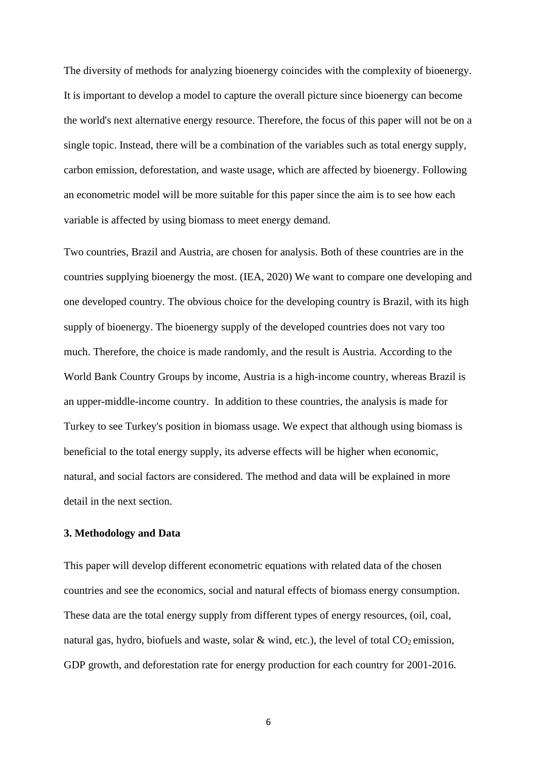The diversity of methods for analyzing bioenergy coincides with the complexity of bioenergy. It is important to develop a model to capture the overall picture since bioenergy can become the world's next alternative energy resource. Therefore, the focus of this paper will not be on a single topic. Instead, there will be a combination of the variables such as total energy supply, carbon emission, deforestation, and waste usage, which are affected by bioenergy. Following an econometric model will be more suitable for this paper since the aim is to see how each variable is affected by using biomass to meet energy demand.

Two countries, Brazil and Austria, are chosen for analysis. Both of these countries are in the countries supplying bioenergy the most. (IEA, 2020) We want to compare one developing and one developed country. The obvious choice for the developing country is Brazil, with its high supply of bioenergy. The bioenergy supply of the developed countries does not vary too much. Therefore, the choice is made randomly, and the result is Austria. According to the World Bank Country Groups by income, Austria is a high-income country, whereas Brazil is an upper-middle-income country. In addition to these countries, the analysis is made for Turkey to see Turkey's position in biomass usage. We expect that although using biomass is beneficial to the total energy supply, its adverse effects will be higher when economic, natural, and social factors are considered. The method and data will be explained in more detail in the next section.

## **3. Methodology and Data**

This paper will develop different econometric equations with related data of the chosen countries and see the economics, social and natural effects of biomass energy consumption. These data are the total energy supply from different types of energy resources, (oil, coal, natural gas, hydro, biofuels and waste, solar  $\&$  wind, etc.), the level of total CO<sub>2</sub> emission, GDP growth, and deforestation rate for energy production for each country for 2001-2016.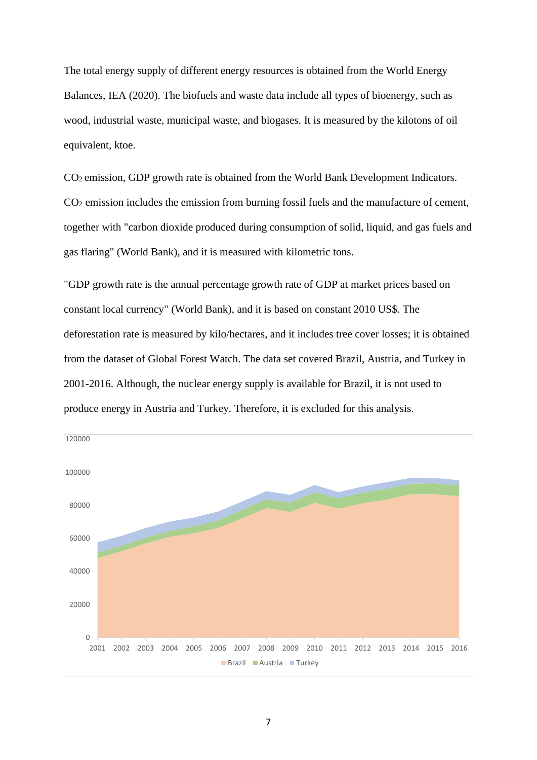The total energy supply of different energy resources is obtained from the World Energy Balances, IEA (2020). The biofuels and waste data include all types of bioenergy, such as wood, industrial waste, municipal waste, and biogases. It is measured by the kilotons of oil equivalent, ktoe.

CO<sup>2</sup> emission, GDP growth rate is obtained from the World Bank Development Indicators. CO<sup>2</sup> emission includes the emission from burning fossil fuels and the manufacture of cement, together with "carbon dioxide produced during consumption of solid, liquid, and gas fuels and gas flaring" (World Bank), and it is measured with kilometric tons.

"GDP growth rate is the annual percentage growth rate of GDP at market prices based on constant local currency" (World Bank), and it is based on constant 2010 US\$. The deforestation rate is measured by kilo/hectares, and it includes tree cover losses; it is obtained from the dataset of Global Forest Watch. The data set covered Brazil, Austria, and Turkey in 2001-2016. Although, the nuclear energy supply is available for Brazil, it is not used to produce energy in Austria and Turkey. Therefore, it is excluded for this analysis.

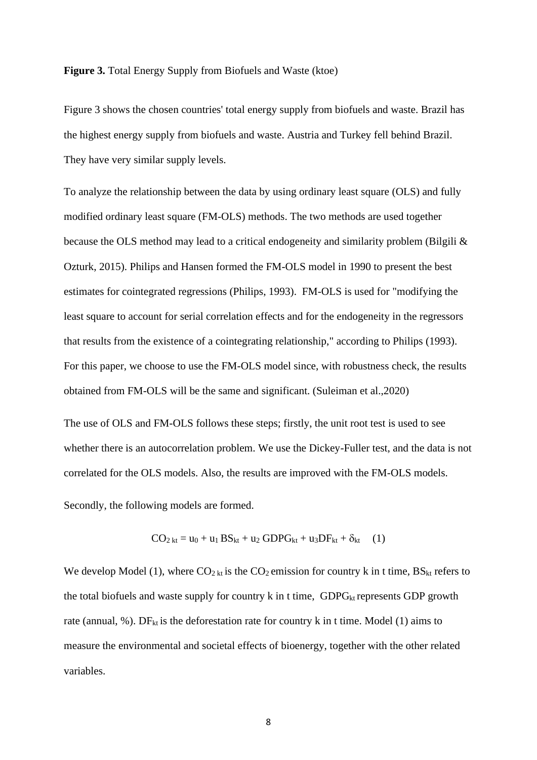#### **Figure 3.** Total Energy Supply from Biofuels and Waste (ktoe)

Figure 3 shows the chosen countries' total energy supply from biofuels and waste. Brazil has the highest energy supply from biofuels and waste. Austria and Turkey fell behind Brazil. They have very similar supply levels.

To analyze the relationship between the data by using ordinary least square (OLS) and fully modified ordinary least square (FM-OLS) methods. The two methods are used together because the OLS method may lead to a critical endogeneity and similarity problem (Bilgili & Ozturk, 2015). Philips and Hansen formed the FM-OLS model in 1990 to present the best estimates for cointegrated regressions (Philips, 1993). FM-OLS is used for "modifying the least square to account for serial correlation effects and for the endogeneity in the regressors that results from the existence of a cointegrating relationship," according to Philips (1993). For this paper, we choose to use the FM-OLS model since, with robustness check, the results obtained from FM-OLS will be the same and significant. (Suleiman et al.,2020)

The use of OLS and FM-OLS follows these steps; firstly, the unit root test is used to see whether there is an autocorrelation problem. We use the Dickey-Fuller test, and the data is not correlated for the OLS models. Also, the results are improved with the FM-OLS models.

Secondly, the following models are formed.

$$
CO_{2\,kt} = u_0 + u_1 BS_{kt} + u_2 GDPG_{kt} + u_3 DF_{kt} + \delta_{kt}
$$
 (1)

We develop Model (1), where  $CO<sub>2</sub>$ <sub>kt</sub> is the  $CO<sub>2</sub>$  emission for country k in t time, BS<sub>kt</sub> refers to the total biofuels and waste supply for country  $k$  in t time, GDPG<sub>kt</sub> represents GDP growth rate (annual, %). DF<sub>kt</sub> is the deforestation rate for country k in t time. Model (1) aims to measure the environmental and societal effects of bioenergy, together with the other related variables.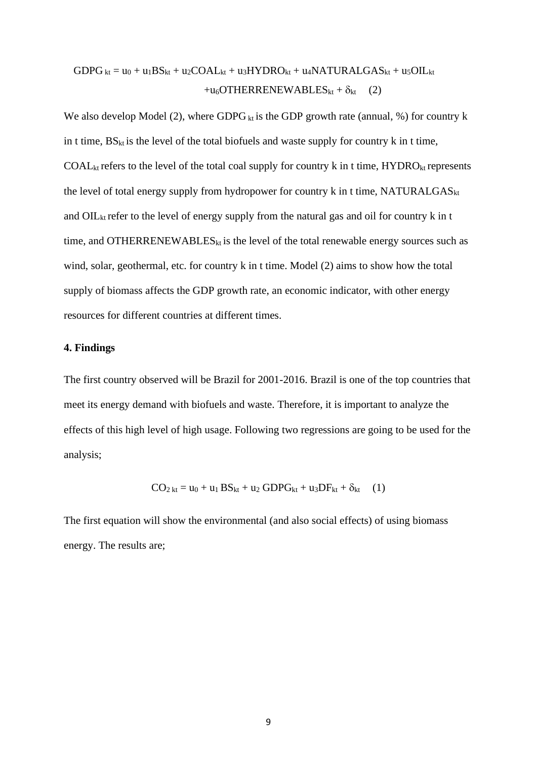$$
GDPG_{kt} = u_0 + u_1BS_{kt} + u_2COAL_{kt} + u_3HYDRO_{kt} + u_4NATURALGAS_{kt} + u_5OIL_{kt} + u_6OTHERRENEWABLES_{kt} + \delta_{kt}
$$
 (2)

We also develop Model (2), where GDPG  $_{kt}$  is the GDP growth rate (annual, %) for country k in t time,  $BS_{kt}$  is the level of the total biofuels and waste supply for country k in t time,  $COAL_{kt}$  refers to the level of the total coal supply for country k in t time,  $HYDRO_{kt}$  represents the level of total energy supply from hydropower for country  $k$  in t time, NATURALGAS $_{kt}$ and  $\text{OIL}_{kt}$  refer to the level of energy supply from the natural gas and oil for country k in t time, and OTHERRENEWABLES<sub>kt</sub> is the level of the total renewable energy sources such as wind, solar, geothermal, etc. for country k in t time. Model (2) aims to show how the total supply of biomass affects the GDP growth rate, an economic indicator, with other energy resources for different countries at different times.

#### **4. Findings**

The first country observed will be Brazil for 2001-2016. Brazil is one of the top countries that meet its energy demand with biofuels and waste. Therefore, it is important to analyze the effects of this high level of high usage. Following two regressions are going to be used for the analysis;

$$
CO_{2\,kt} = u_0 + u_1\,BS_{kt} + u_2\,GDPG_{kt} + u_3DF_{kt} + \delta_{kt} \quad (1)
$$

The first equation will show the environmental (and also social effects) of using biomass energy. The results are;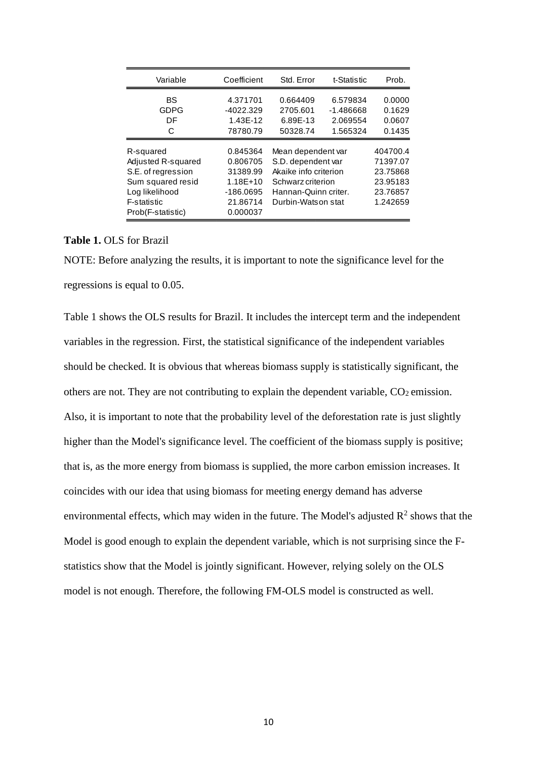| Variable                                                                                                                         | Coefficient                                                                       | Std. Error                                                                                                                           | t-Statistic                                     | Prob.                                                                |
|----------------------------------------------------------------------------------------------------------------------------------|-----------------------------------------------------------------------------------|--------------------------------------------------------------------------------------------------------------------------------------|-------------------------------------------------|----------------------------------------------------------------------|
| BS<br>GDPG<br>DF<br>C                                                                                                            | 4.371701<br>$-4022.329$<br>1.43E-12<br>78780.79                                   | 0.664409<br>2705.601<br>6.89E-13<br>50328.74                                                                                         | 6.579834<br>$-1.486668$<br>2.069554<br>1.565324 | 0.0000<br>0.1629<br>0.0607<br>0.1435                                 |
| R-squared<br>Adjusted R-squared<br>S.E. of regression<br>Sum squared resid<br>Log likelihood<br>F-statistic<br>Prob(F-statistic) | 0.845364<br>0.806705<br>31389.99<br>1.18E+10<br>-186.0695<br>21.86714<br>0.000037 | Mean dependent var<br>S.D. dependent var<br>Akaike info criterion<br>Schwarz criterion<br>Hannan-Quinn criter.<br>Durbin-Watson stat |                                                 | 404700.4<br>71397.07<br>23.75868<br>23.95183<br>23.76857<br>1.242659 |

**Table 1.** OLS for Brazil

NOTE: Before analyzing the results, it is important to note the significance level for the regressions is equal to 0.05.

Table 1 shows the OLS results for Brazil. It includes the intercept term and the independent variables in the regression. First, the statistical significance of the independent variables should be checked. It is obvious that whereas biomass supply is statistically significant, the others are not. They are not contributing to explain the dependent variable,  $CO<sub>2</sub>$  emission. Also, it is important to note that the probability level of the deforestation rate is just slightly higher than the Model's significance level. The coefficient of the biomass supply is positive; that is, as the more energy from biomass is supplied, the more carbon emission increases. It coincides with our idea that using biomass for meeting energy demand has adverse environmental effects, which may widen in the future. The Model's adjusted  $\mathbb{R}^2$  shows that the Model is good enough to explain the dependent variable, which is not surprising since the Fstatistics show that the Model is jointly significant. However, relying solely on the OLS model is not enough. Therefore, the following FM-OLS model is constructed as well.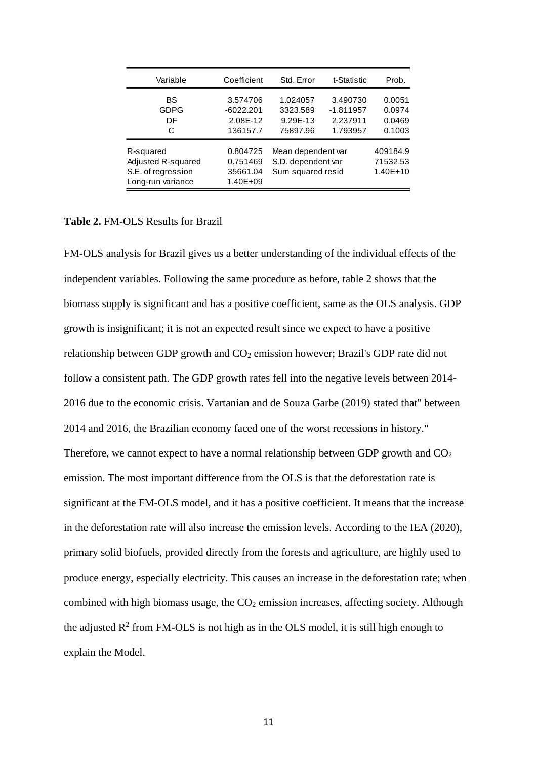| Variable                                                                   | Coefficient                                     | Std. Error                                                    | t-Statistic                                     | Prob.                                |
|----------------------------------------------------------------------------|-------------------------------------------------|---------------------------------------------------------------|-------------------------------------------------|--------------------------------------|
| BS<br><b>GDPG</b><br>DF<br>C                                               | 3.574706<br>$-6022.201$<br>2.08E-12<br>136157.7 | 1.024057<br>3323.589<br>9.29E-13<br>75897.96                  | 3.490730<br>$-1.811957$<br>2.237911<br>1.793957 | 0.0051<br>0.0974<br>0.0469<br>0.1003 |
| R-squared<br>Adjusted R-squared<br>S.E. of regression<br>Long-run variance | 0.804725<br>0.751469<br>35661.04<br>1.40E+09    | Mean dependent var<br>S.D. dependent var<br>Sum squared resid |                                                 | 409184.9<br>71532.53<br>$1.40E + 10$ |

## **Table 2.** FM-OLS Results for Brazil

FM-OLS analysis for Brazil gives us a better understanding of the individual effects of the independent variables. Following the same procedure as before, table 2 shows that the biomass supply is significant and has a positive coefficient, same as the OLS analysis. GDP growth is insignificant; it is not an expected result since we expect to have a positive relationship between GDP growth and  $CO<sub>2</sub>$  emission however; Brazil's GDP rate did not follow a consistent path. The GDP growth rates fell into the negative levels between 2014- 2016 due to the economic crisis. Vartanian and de Souza Garbe (2019) stated that" between 2014 and 2016, the Brazilian economy faced one of the worst recessions in history." Therefore, we cannot expect to have a normal relationship between GDP growth and  $CO<sub>2</sub>$ emission. The most important difference from the OLS is that the deforestation rate is significant at the FM-OLS model, and it has a positive coefficient. It means that the increase in the deforestation rate will also increase the emission levels. According to the IEA (2020), primary solid biofuels, provided directly from the forests and agriculture, are highly used to produce energy, especially electricity. This causes an increase in the deforestation rate; when combined with high biomass usage, the  $CO<sub>2</sub>$  emission increases, affecting society. Although the adjusted  $R^2$  from FM-OLS is not high as in the OLS model, it is still high enough to explain the Model.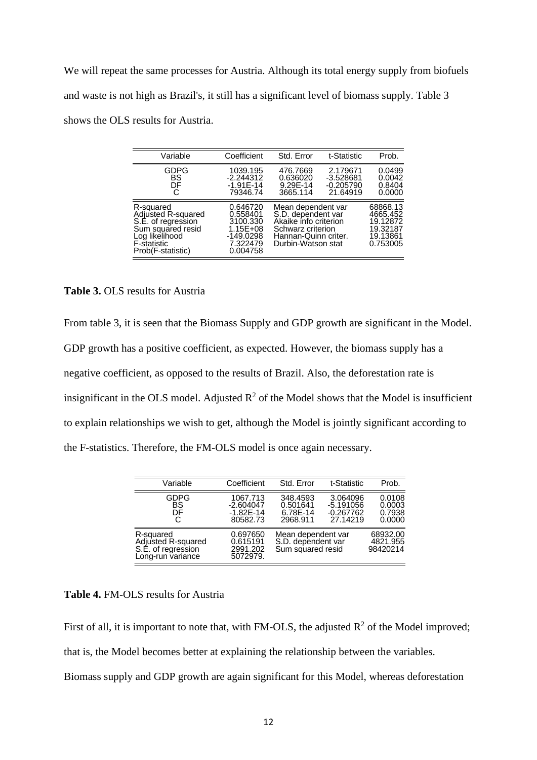We will repeat the same processes for Austria. Although its total energy supply from biofuels and waste is not high as Brazil's, it still has a significant level of biomass supply. Table 3 shows the OLS results for Austria.

| Variable                                                                                                                                | Coefficient                                                                             | Std. Error                                                                                                                           | t-Statistic                                      | Prob.                                                                |
|-----------------------------------------------------------------------------------------------------------------------------------------|-----------------------------------------------------------------------------------------|--------------------------------------------------------------------------------------------------------------------------------------|--------------------------------------------------|----------------------------------------------------------------------|
| GDPG<br>BS<br>DF<br>С                                                                                                                   | 1039.195<br>$-2.244312$<br>$-1.91E - 14$<br>79346.74                                    | 476.7669<br>0.636020<br>9.29E-14<br>3665.114                                                                                         | 2.179671<br>-3.528681<br>$-0.205790$<br>21.64919 | 0.0499<br>0.0042<br>0.8404<br>0.0000                                 |
| R-squared<br>Adjusted R-squared<br>S.E. of regression<br>Sum squared resid<br>Log likelihood<br><b>F-statistic</b><br>Prob(F-statistic) | 0.646720<br>0.558401<br>3100.330<br>$1.15E + 08$<br>$-149.0298$<br>7.322479<br>0.004758 | Mean dependent var<br>S.D. dependent var<br>Akaike info criterion<br>Schwarz criterion<br>Hannan-Quinn criter.<br>Durbin-Watson stat |                                                  | 68868.13<br>4665.452<br>19.12872<br>19.32187<br>19.13861<br>0.753005 |

# **Table 3.** OLS results for Austria

From table 3, it is seen that the Biomass Supply and GDP growth are significant in the Model. GDP growth has a positive coefficient, as expected. However, the biomass supply has a negative coefficient, as opposed to the results of Brazil. Also, the deforestation rate is insignificant in the OLS model. Adjusted  $R^2$  of the Model shows that the Model is insufficient to explain relationships we wish to get, although the Model is jointly significant according to the F-statistics. Therefore, the FM-OLS model is once again necessary.

| Variable                                                                   | Coefficient                                          | Std. Error                                                    | t-Statistic                                        | Prob.                                |
|----------------------------------------------------------------------------|------------------------------------------------------|---------------------------------------------------------------|----------------------------------------------------|--------------------------------------|
| GDPG<br>BS<br>DF<br>С                                                      | 1067.713<br>$-2.604047$<br>$-1.82E - 14$<br>80582.73 | 348.4593<br>0.501641<br>6.78E-14<br>2968.911                  | 3.064096<br>$-5.191056$<br>$-0.267762$<br>27.14219 | 0.0108<br>0.0003<br>0.7938<br>0.0000 |
| R-squared<br>Adjusted R-squared<br>S.E. of regression<br>Long-run variance | 0.697650<br>0.615191<br>2991.202<br>5072979.         | Mean dependent var<br>S.D. dependent var<br>Sum squared resid |                                                    | 68932.00<br>4821.955<br>98420214     |

### **Table 4.** FM-OLS results for Austria

First of all, it is important to note that, with FM-OLS, the adjusted  $R^2$  of the Model improved; that is, the Model becomes better at explaining the relationship between the variables. Biomass supply and GDP growth are again significant for this Model, whereas deforestation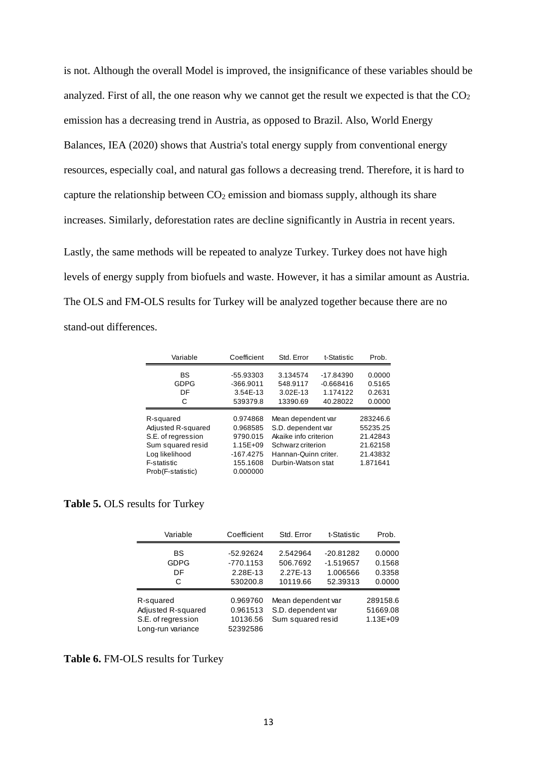is not. Although the overall Model is improved, the insignificance of these variables should be analyzed. First of all, the one reason why we cannot get the result we expected is that the  $CO<sub>2</sub>$ emission has a decreasing trend in Austria, as opposed to Brazil. Also, World Energy Balances, IEA (2020) shows that Austria's total energy supply from conventional energy resources, especially coal, and natural gas follows a decreasing trend. Therefore, it is hard to capture the relationship between  $CO<sub>2</sub>$  emission and biomass supply, although its share increases. Similarly, deforestation rates are decline significantly in Austria in recent years.

Lastly, the same methods will be repeated to analyze Turkey. Turkey does not have high levels of energy supply from biofuels and waste. However, it has a similar amount as Austria. The OLS and FM-OLS results for Turkey will be analyzed together because there are no stand-out differences.

| Variable           | Coefficient | Std. Error            | t-Statistic | Prob.    |
|--------------------|-------------|-----------------------|-------------|----------|
| BS                 | -55.93303   | 3.134574              | -17.84390   | 0.0000   |
| <b>GDPG</b>        | $-366.9011$ | 548.9117              | $-0.668416$ | 0.5165   |
| DF                 | 3.54E-13    | 3.02E-13              | 1.174122    | 0.2631   |
| С                  | 539379.8    | 13390.69              | 40.28022    | 0.0000   |
|                    |             |                       |             |          |
| R-squared          | 0.974868    | Mean dependent var    |             | 283246.6 |
| Adjusted R-squared | 0.968585    | S.D. dependent var    |             | 55235.25 |
| S.E. of regression | 9790.015    | Akaike info criterion |             | 21.42843 |
| Sum squared resid  | 1.15E+09    | Schwarz criterion     |             | 21.62158 |
| Log likelihood     | $-167.4275$ | Hannan-Quinn criter.  |             | 21.43832 |
| F-statistic        | 155.1608    | Durbin-Watson stat    |             | 1.871641 |
| Prob(F-statistic)  | 0.000000    |                       |             |          |

**Table 5.** OLS results for Turkey

| Variable                                                                   | Coefficient                                      | Std. Error                                                    | t-Statistic                                        | Prob.                                |
|----------------------------------------------------------------------------|--------------------------------------------------|---------------------------------------------------------------|----------------------------------------------------|--------------------------------------|
| BS<br><b>GDPG</b><br>DF<br>C                                               | -52.92624<br>$-770.1153$<br>2.28E-13<br>530200.8 | 2.542964<br>506.7692<br>2.27E-13<br>10119.66                  | $-20.81282$<br>$-1.519657$<br>1.006566<br>52.39313 | 0.0000<br>0.1568<br>0.3358<br>0.0000 |
| R-squared<br>Adjusted R-squared<br>S.E. of regression<br>Long-run variance | 0.969760<br>0.961513<br>10136.56<br>52392586     | Mean dependent var<br>S.D. dependent var<br>Sum squared resid |                                                    | 289158.6<br>51669.08<br>1.13E+09     |

**Table 6.** FM-OLS results for Turkey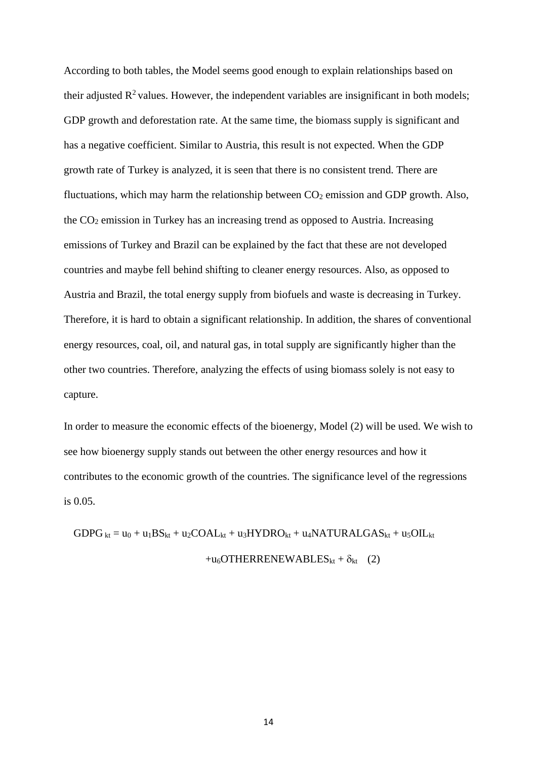According to both tables, the Model seems good enough to explain relationships based on their adjusted  $\mathbb{R}^2$  values. However, the independent variables are insignificant in both models; GDP growth and deforestation rate. At the same time, the biomass supply is significant and has a negative coefficient. Similar to Austria, this result is not expected. When the GDP growth rate of Turkey is analyzed, it is seen that there is no consistent trend. There are fluctuations, which may harm the relationship between  $CO<sub>2</sub>$  emission and GDP growth. Also, the CO<sup>2</sup> emission in Turkey has an increasing trend as opposed to Austria. Increasing emissions of Turkey and Brazil can be explained by the fact that these are not developed countries and maybe fell behind shifting to cleaner energy resources. Also, as opposed to Austria and Brazil, the total energy supply from biofuels and waste is decreasing in Turkey. Therefore, it is hard to obtain a significant relationship. In addition, the shares of conventional energy resources, coal, oil, and natural gas, in total supply are significantly higher than the other two countries. Therefore, analyzing the effects of using biomass solely is not easy to capture.

In order to measure the economic effects of the bioenergy, Model (2) will be used. We wish to see how bioenergy supply stands out between the other energy resources and how it contributes to the economic growth of the countries. The significance level of the regressions is 0.05.

 $GDPG_{kt} = u_0 + u_1BS_{kt} + u_2COAL_{kt} + u_3HYDRO_{kt} + u_4NATURALGAS_{kt} + u_5OIL_{kt}$ +u<sub>6</sub>OTHERRENEWABLES<sub>kt</sub> +  $\delta_{kt}$  (2)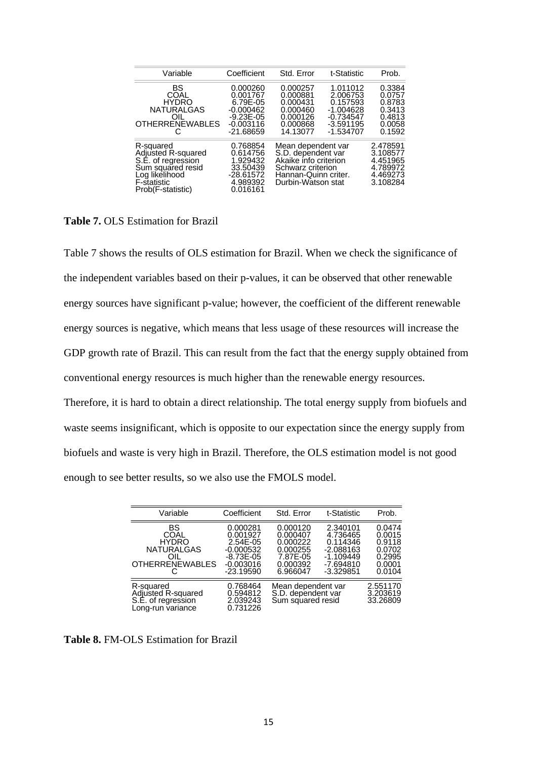| Variable                                                                                                                                | Coefficient                                                                                    | Std. Error                                                                                                                           | t-Statistic                                                                                  | Prob.                                                                |
|-----------------------------------------------------------------------------------------------------------------------------------------|------------------------------------------------------------------------------------------------|--------------------------------------------------------------------------------------------------------------------------------------|----------------------------------------------------------------------------------------------|----------------------------------------------------------------------|
| BS<br>COAL<br><b>HYDRO</b><br><b>NATURALGAS</b><br>OIL.<br><b>OTHERRENEWABLES</b>                                                       | 0.000260<br>0.001767<br>6.79E-05<br>$-0.000462$<br>$-9.23E - 05$<br>$-0.003116$<br>$-21.68659$ | 0.000257<br>0.000881<br>0.000431<br>0.000460<br>0.000126<br>0.000868<br>14.13077                                                     | 1.011012<br>2.006753<br>0.157593<br>$-1.004628$<br>$-0.734547$<br>$-3.591195$<br>$-1.534707$ | 0.3384<br>0.0757<br>0.8783<br>0.3413<br>0.4813<br>0.0058<br>0.1592   |
| R-squared<br>Adjusted R-squared<br>S.E. of regression<br>Sum squared resid<br>Log likelihood<br><b>F-statistic</b><br>Prob(F-statistic) | 0.768854<br>0.614756<br>1.929432<br>33.50439<br>-28.61572<br>4.989392<br>0.016161              | Mean dependent var<br>S.D. dependent var<br>Akaike info criterion<br>Schwarz criterion<br>Hannan-Quinn criter.<br>Durbin-Watson stat |                                                                                              | 2.478591<br>3.108577<br>4.451965<br>4.789972<br>4.469273<br>3.108284 |

**Table 7.** OLS Estimation for Brazil

Table 7 shows the results of OLS estimation for Brazil. When we check the significance of the independent variables based on their p-values, it can be observed that other renewable energy sources have significant p-value; however, the coefficient of the different renewable energy sources is negative, which means that less usage of these resources will increase the GDP growth rate of Brazil. This can result from the fact that the energy supply obtained from conventional energy resources is much higher than the renewable energy resources.

Therefore, it is hard to obtain a direct relationship. The total energy supply from biofuels and waste seems insignificant, which is opposite to our expectation since the energy supply from biofuels and waste is very high in Brazil. Therefore, the OLS estimation model is not good enough to see better results, so we also use the FMOLS model.

| Variable                                                                         | Coefficient                                                                                  | Std. Error                                                                       | t-Statistic                                                                                | Prob.                                                              |
|----------------------------------------------------------------------------------|----------------------------------------------------------------------------------------------|----------------------------------------------------------------------------------|--------------------------------------------------------------------------------------------|--------------------------------------------------------------------|
| BS<br>COAL<br><b>HYDRO</b><br><b>NATURALGAS</b><br>OIL<br><b>OTHERRENEWABLES</b> | 0.000281<br>0.001927<br>2.54E-05<br>$-0.000532$<br>$-8.73E - 05$<br>$-0.003016$<br>-23.19590 | 0.000120<br>0.000407<br>0.000222<br>0.000255<br>7.87E-05<br>0.000392<br>6.966047 | 2.340101<br>4.736465<br>0.114346<br>$-2.088163$<br>$-1.109449$<br>-7.694810<br>$-3.329851$ | 0.0474<br>0.0015<br>0.9118<br>0.0702<br>0.2995<br>0.0001<br>0.0104 |
| R-squared<br>Adjusted R-squared<br>S.E. of regression<br>Long-run variance       | 0.768464<br>0.594812<br>2.039243<br>0.731226                                                 | Mean dependent var<br>S.D. dependent var<br>Sum squared resid                    |                                                                                            | 2.551170<br>3.203619<br>33.26809                                   |

**Table 8.** FM-OLS Estimation for Brazil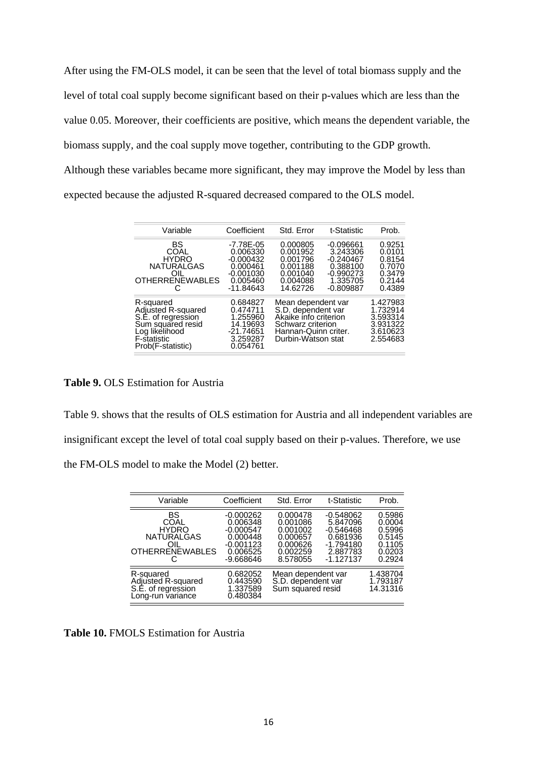After using the FM-OLS model, it can be seen that the level of total biomass supply and the level of total coal supply become significant based on their p-values which are less than the value 0.05. Moreover, their coefficients are positive, which means the dependent variable, the biomass supply, and the coal supply move together, contributing to the GDP growth. Although these variables became more significant, they may improve the Model by less than expected because the adjusted R-squared decreased compared to the OLS model.

| Variable                                                                                                                         | Coefficient                                                                                | Std. Error                                                                                                                           | t-Statistic                                                                                  | Prob.                                                                |
|----------------------------------------------------------------------------------------------------------------------------------|--------------------------------------------------------------------------------------------|--------------------------------------------------------------------------------------------------------------------------------------|----------------------------------------------------------------------------------------------|----------------------------------------------------------------------|
| BS<br>COAL<br><b>HYDRO</b><br><b>NATURALGAS</b><br>OIL<br><b>OTHERRENEWABLES</b><br>C                                            | -7.78E-05<br>0.006330<br>$-0.000432$<br>0.000461<br>$-0.001030$<br>0.005460<br>$-11.84643$ | 0.000805<br>0.001952<br>0.001796<br>0.001188<br>0.001040<br>0.004088<br>14.62726                                                     | $-0.096661$<br>3.243306<br>$-0.240467$<br>0.388100<br>$-0.990273$<br>1.335705<br>$-0.809887$ | 0.9251<br>0.0101<br>0.8154<br>0.7070<br>0.3479<br>0.2144<br>0.4389   |
| R-squared<br>Adjusted R-squared<br>S.E. of regression<br>Sum squared resid<br>Log likelihood<br>F-statistic<br>Prob(F-statistic) | 0.684827<br>0.474711<br>1.255960<br>14.19693<br>$-21.74651$<br>3.259287<br>0.054761        | Mean dependent var<br>S.D. dependent var<br>Akaike info criterion<br>Schwarz criterion<br>Hannan-Quinn criter.<br>Durbin-Watson stat |                                                                                              | 1.427983<br>1.732914<br>3.593314<br>3.931322<br>3.610623<br>2.554683 |

**Table 9.** OLS Estimation for Austria

Table 9. shows that the results of OLS estimation for Austria and all independent variables are insignificant except the level of total coal supply based on their p-values. Therefore, we use the FM-OLS model to make the Model (2) better.

| Variable                                                                         | Coefficient                                                                                | Std. Error                                                                       | t-Statistic                                                                                  | Prob.                                                              |
|----------------------------------------------------------------------------------|--------------------------------------------------------------------------------------------|----------------------------------------------------------------------------------|----------------------------------------------------------------------------------------------|--------------------------------------------------------------------|
| BS<br>COAL<br><b>HYDRO</b><br><b>NATURALGAS</b><br>OIL<br><b>OTHERRENEWABLES</b> | $-0.000262$<br>0.006348<br>$-0.000547$<br>0.000448<br>$-0.001123$<br>0.006525<br>-9.668646 | 0.000478<br>0.001086<br>0.001002<br>0.000657<br>0.000626<br>0.002259<br>8.578055 | $-0.548062$<br>5.847096<br>$-0.546468$<br>0.681936<br>$-1.794180$<br>2.887783<br>$-1.127137$ | 0.5986<br>0.0004<br>0.5996<br>0.5145<br>0.1105<br>0.0203<br>0.2924 |
| R-squared<br>Adjusted R-squared<br>S.E. of regression<br>Long-run variance       | 0.682052<br>0.443590<br>1.337589<br>0.480384                                               | Mean dependent var<br>S.D. dependent var<br>Sum squared resid                    |                                                                                              | 1.438704<br>1.793187<br>14.31316                                   |

**Table 10.** FMOLS Estimation for Austria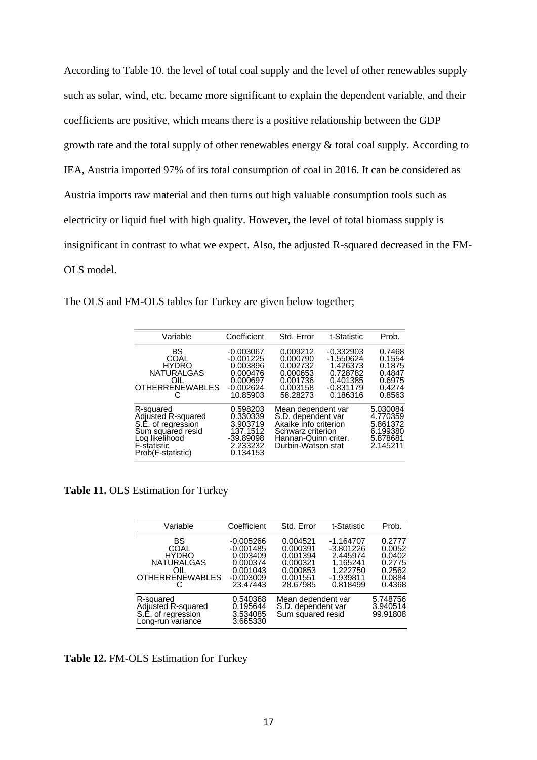According to Table 10. the level of total coal supply and the level of other renewables supply such as solar, wind, etc. became more significant to explain the dependent variable, and their coefficients are positive, which means there is a positive relationship between the GDP growth rate and the total supply of other renewables energy & total coal supply. According to IEA, Austria imported 97% of its total consumption of coal in 2016. It can be considered as Austria imports raw material and then turns out high valuable consumption tools such as electricity or liquid fuel with high quality. However, the level of total biomass supply is insignificant in contrast to what we expect. Also, the adjusted R-squared decreased in the FM-OLS model.

The OLS and FM-OLS tables for Turkey are given below together;

| Variable                                                                                                                         | Coefficient                                                                               | Std. Error                                                                                                                           | t-Statistic                                                                               | Prob.                                                                |
|----------------------------------------------------------------------------------------------------------------------------------|-------------------------------------------------------------------------------------------|--------------------------------------------------------------------------------------------------------------------------------------|-------------------------------------------------------------------------------------------|----------------------------------------------------------------------|
| BS<br>COAL<br><b>HYDRO</b><br><b>NATURALGAS</b><br>OIL<br><b>OTHERRENEWABLES</b>                                                 | $-0.003067$<br>$-0.001225$<br>0.003896<br>0.000476<br>0.000697<br>$-0.002624$<br>10.85903 | 0.009212<br>0.000790<br>0.002732<br>0.000653<br>0.001736<br>0.003158<br>58.28273                                                     | $-0.332903$<br>$-1.550624$<br>1.426373<br>0.728782<br>0.401385<br>$-0.831179$<br>0.186316 | 0.7468<br>0.1554<br>0.1875<br>0.4847<br>0.6975<br>0.4274<br>0.8563   |
| R-squared<br>Adjusted R-squared<br>S.E. of regression<br>Sum squared resid<br>Log likelihood<br>F-statistic<br>Prob(F-statistic) | 0.598203<br>0.330339<br>3.903719<br>137.1512<br>$-39.89098$<br>2.233232<br>0.134153       | Mean dependent var<br>S.D. dependent var<br>Akaike info criterion<br>Schwarz criterion<br>Hannan-Quinn criter.<br>Durbin-Watson stat |                                                                                           | 5.030084<br>4.770359<br>5.861372<br>6.199380<br>5.878681<br>2.145211 |

**Table 11.** OLS Estimation for Turkey

| Variable                                                                         | Coefficient                                                                             | Std. Error                                                                       | t-Statistic                                                                             | Prob.                                                              |
|----------------------------------------------------------------------------------|-----------------------------------------------------------------------------------------|----------------------------------------------------------------------------------|-----------------------------------------------------------------------------------------|--------------------------------------------------------------------|
| BS<br>COAL<br><b>HYDRO</b><br><b>NATURALGAS</b><br>∩II<br><b>OTHERRENEWABLES</b> | -0.005266<br>$-0.001485$<br>0.003409<br>0.000374<br>0.001043<br>$-0.003009$<br>23.47443 | 0.004521<br>0.000391<br>0.001394<br>0.000321<br>0.000853<br>0.001551<br>28.67985 | -1.164707<br>$-3.801226$<br>2.445974<br>1.165241<br>1.222750<br>$-1.939811$<br>0.818499 | 0.2777<br>0.0052<br>0.0402<br>0.2775<br>0.2562<br>0.0884<br>0.4368 |
| R-squared<br>Adjusted R-squared<br>S.E. of regression<br>Long-run variance       | 0.540368<br>0.195644<br>3.534085<br>3.665330                                            | Mean dependent var<br>S.D. dependent var<br>Sum squared resid                    |                                                                                         | 5.748756<br>3.940514<br>99.91808                                   |

**Table 12.** FM-OLS Estimation for Turkey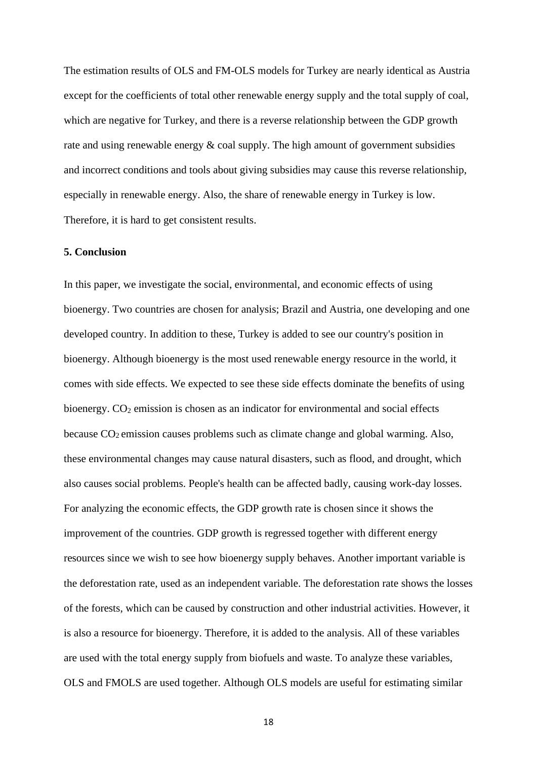The estimation results of OLS and FM-OLS models for Turkey are nearly identical as Austria except for the coefficients of total other renewable energy supply and the total supply of coal, which are negative for Turkey, and there is a reverse relationship between the GDP growth rate and using renewable energy  $\&$  coal supply. The high amount of government subsidies and incorrect conditions and tools about giving subsidies may cause this reverse relationship, especially in renewable energy. Also, the share of renewable energy in Turkey is low. Therefore, it is hard to get consistent results.

## **5. Conclusion**

In this paper, we investigate the social, environmental, and economic effects of using bioenergy. Two countries are chosen for analysis; Brazil and Austria, one developing and one developed country. In addition to these, Turkey is added to see our country's position in bioenergy. Although bioenergy is the most used renewable energy resource in the world, it comes with side effects. We expected to see these side effects dominate the benefits of using bioenergy. CO<sub>2</sub> emission is chosen as an indicator for environmental and social effects because  $CO<sub>2</sub>$  emission causes problems such as climate change and global warming. Also, these environmental changes may cause natural disasters, such as flood, and drought, which also causes social problems. People's health can be affected badly, causing work-day losses. For analyzing the economic effects, the GDP growth rate is chosen since it shows the improvement of the countries. GDP growth is regressed together with different energy resources since we wish to see how bioenergy supply behaves. Another important variable is the deforestation rate, used as an independent variable. The deforestation rate shows the losses of the forests, which can be caused by construction and other industrial activities. However, it is also a resource for bioenergy. Therefore, it is added to the analysis. All of these variables are used with the total energy supply from biofuels and waste. To analyze these variables, OLS and FMOLS are used together. Although OLS models are useful for estimating similar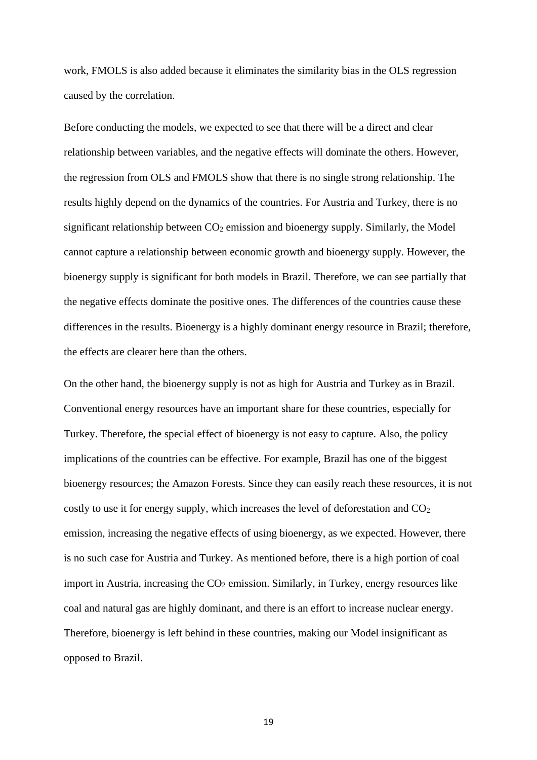work, FMOLS is also added because it eliminates the similarity bias in the OLS regression caused by the correlation.

Before conducting the models, we expected to see that there will be a direct and clear relationship between variables, and the negative effects will dominate the others. However, the regression from OLS and FMOLS show that there is no single strong relationship. The results highly depend on the dynamics of the countries. For Austria and Turkey, there is no significant relationship between  $CO<sub>2</sub>$  emission and bioenergy supply. Similarly, the Model cannot capture a relationship between economic growth and bioenergy supply. However, the bioenergy supply is significant for both models in Brazil. Therefore, we can see partially that the negative effects dominate the positive ones. The differences of the countries cause these differences in the results. Bioenergy is a highly dominant energy resource in Brazil; therefore, the effects are clearer here than the others.

On the other hand, the bioenergy supply is not as high for Austria and Turkey as in Brazil. Conventional energy resources have an important share for these countries, especially for Turkey. Therefore, the special effect of bioenergy is not easy to capture. Also, the policy implications of the countries can be effective. For example, Brazil has one of the biggest bioenergy resources; the Amazon Forests. Since they can easily reach these resources, it is not costly to use it for energy supply, which increases the level of deforestation and  $CO<sub>2</sub>$ emission, increasing the negative effects of using bioenergy, as we expected. However, there is no such case for Austria and Turkey. As mentioned before, there is a high portion of coal import in Austria, increasing the  $CO<sub>2</sub>$  emission. Similarly, in Turkey, energy resources like coal and natural gas are highly dominant, and there is an effort to increase nuclear energy. Therefore, bioenergy is left behind in these countries, making our Model insignificant as opposed to Brazil.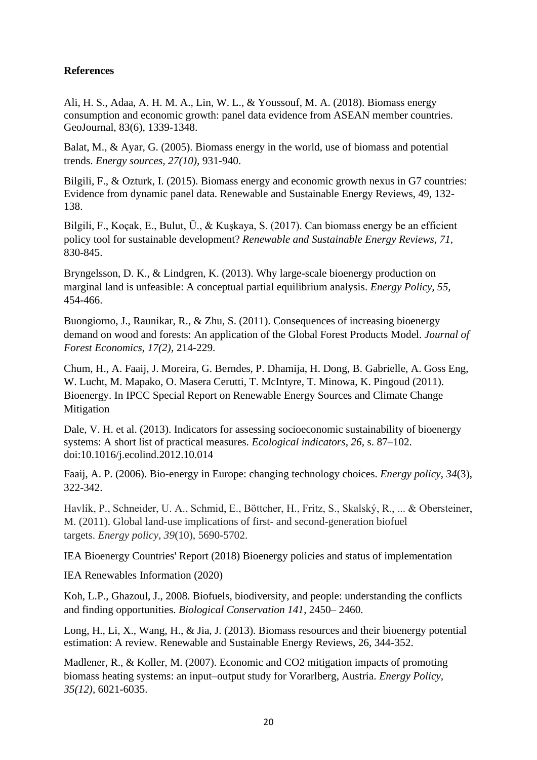# **References**

Ali, H. S., Adaa, A. H. M. A., Lin, W. L., & Youssouf, M. A. (2018). Biomass energy consumption and economic growth: panel data evidence from ASEAN member countries. GeoJournal, 83(6), 1339-1348.

Balat, M., & Ayar, G. (2005). Biomass energy in the world, use of biomass and potential trends. *Energy sources, 27(10),* 931-940.

Bilgili, F., & Ozturk, I. (2015). Biomass energy and economic growth nexus in G7 countries: Evidence from dynamic panel data. Renewable and Sustainable Energy Reviews, 49, 132- 138.

Bilgili, F., Koçak, E., Bulut, Ü., & Kuşkaya, S. (2017). Can biomass energy be an efficient policy tool for sustainable development? *Renewable and Sustainable Energy Reviews, 71,* 830-845.

Bryngelsson, D. K., & Lindgren, K. (2013). Why large-scale bioenergy production on marginal land is unfeasible: A conceptual partial equilibrium analysis. *Energy Policy, 55,* 454-466.

Buongiorno, J., Raunikar, R., & Zhu, S. (2011). Consequences of increasing bioenergy demand on wood and forests: An application of the Global Forest Products Model. *Journal of Forest Economics, 17(2),* 214-229.

Chum, H., A. Faaij, J. Moreira, G. Berndes, P. Dhamija, H. Dong, B. Gabrielle, A. Goss Eng, W. Lucht, M. Mapako, O. Masera Cerutti, T. McIntyre, T. Minowa, K. Pingoud (2011). Bioenergy. In IPCC Special Report on Renewable Energy Sources and Climate Change Mitigation

Dale, V. H. et al. (2013). Indicators for assessing socioeconomic sustainability of bioenergy systems: A short list of practical measures. *Ecological indicators*, *26*, s. 87–102. doi:10.1016/j.ecolind.2012.10.014

Faaij, A. P. (2006). Bio-energy in Europe: changing technology choices. *Energy policy*, *34*(3), 322-342.

Havlík, P., Schneider, U. A., Schmid, E., Böttcher, H., Fritz, S., Skalský, R., ... & Obersteiner, M. (2011). Global land-use implications of first- and second-generation biofuel targets. *Energy policy*, *39*(10), 5690-5702.

IEA Bioenergy Countries' Report (2018) Bioenergy policies and status of implementation

IEA Renewables Information (2020)

Koh, L.P., Ghazoul, J., 2008. Biofuels, biodiversity, and people: understanding the conflicts and finding opportunities. *Biological Conservation 141*, 2450– 2460.

Long, H., Li, X., Wang, H., & Jia, J. (2013). Biomass resources and their bioenergy potential estimation: A review. Renewable and Sustainable Energy Reviews, 26, 344-352.

Madlener, R., & Koller, M. (2007). Economic and CO2 mitigation impacts of promoting biomass heating systems: an input–output study for Vorarlberg, Austria. *Energy Policy, 35(12),* 6021-6035.